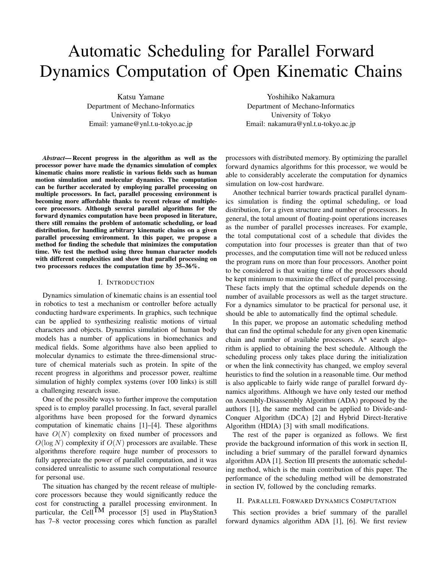# Automatic Scheduling for Parallel Forward Dynamics Computation of Open Kinematic Chains

Katsu Yamane Department of Mechano-Informatics University of Tokyo Email: yamane@ynl.t.u-tokyo.ac.jp

*Abstract***— Recent progress in the algorithm as well as the processor power have made the dynamics simulation of complex kinematic chains more realistic in various fields such as human motion simulation and molecular dynamics. The computation can be further accelerated by employing parallel processing on multiple processors. In fact, parallel processing environment is becoming more affordable thanks to recent release of multiplecore processors. Although several parallel algorithms for the forward dynamics computation have been proposed in literature, there still remains the problem of automatic scheduling, or load distribution, for handling arbitrary kinematic chains on a given parallel processing environment. In this paper, we propose a method for finding the schedule that minimizes the computation time. We test the method using three human character models with different complexities and show that parallel processing on two processors reduces the computation time by 35–36%.**

# I. INTRODUCTION

Dynamics simulation of kinematic chains is an essential tool in robotics to test a mechanism or controller before actually conducting hardware experiments. In graphics, such technique can be applied to synthesizing realistic motions of virtual characters and objects. Dynamics simulation of human body models has a number of applications in biomechanics and medical fields. Some algorithms have also been applied to molecular dynamics to estimate the three-dimensional structure of chemical materials such as protein. In spite of the recent progress in algorithms and processor power, realtime simulation of highly complex systems (over 100 links) is still a challenging research issue.

One of the possible ways to further improve the computation speed is to employ parallel processing. In fact, several parallel algorithms have been proposed for the forward dynamics computation of kinematic chains [1]–[4]. These algorithms have  $O(N)$  complexity on fixed number of processors and  $O(\log N)$  complexity if  $O(N)$  processors are available. These algorithms therefore require huge number of processors to fully appreciate the power of parallel computation, and it was considered unrealistic to assume such computational resource for personal use.

The situation has changed by the recent release of multiplecore processors because they would significantly reduce the cost for constructing a parallel processing environment. In particular, the Cell<sup>TM</sup> processor [5] used in PlayStation3 has 7–8 vector processing cores which function as parallel

Yoshihiko Nakamura Department of Mechano-Informatics University of Tokyo Email: nakamura@ynl.t.u-tokyo.ac.jp

processors with distributed memory. By optimizing the parallel forward dynamics algorithms for this processor, we would be able to considerably accelerate the computation for dynamics simulation on low-cost hardware.

Another technical barrier towards practical parallel dynamics simulation is finding the optimal scheduling, or load distribution, for a given structure and number of processors. In general, the total amount of floating-point operations increases as the number of parallel processes increases. For example, the total computational cost of a schedule that divides the computation into four processes is greater than that of two processes, and the computation time will not be reduced unless the program runs on more than four processors. Another point to be considered is that waiting time of the processors should be kept minimum to maximize the effect of parallel processing. These facts imply that the optimal schedule depends on the number of available processors as well as the target structure. For a dynamics simulator to be practical for personal use, it should be able to automatically find the optimal schedule.

In this paper, we propose an automatic scheduling method that can find the optimal schedule for any given open kinematic chain and number of available processors. A\* search algorithm is applied to obtaining the best schedule. Although the scheduling process only takes place during the initialization or when the link connectivity has changed, we employ several heuristics to find the solution in a reasonable time. Our method is also applicable to fairly wide range of parallel forward dynamics algorithms. Although we have only tested our method on Assembly-Disassembly Algorithm (ADA) proposed by the authors [1], the same method can be applied to Divide-and-Conquer Algorithm (DCA) [2] and Hybrid Direct-Iterative Algorithm (HDIA) [3] with small modifications.

The rest of the paper is organized as follows. We first provide the background information of this work in section II, including a brief summary of the parallel forward dynamics algorithm ADA [1]. Section III presents the automatic scheduling method, which is the main contribution of this paper. The performance of the scheduling method will be demonstrated in section IV, followed by the concluding remarks.

### II. PARALLEL FORWARD DYNAMICS COMPUTATION

This section provides a brief summary of the parallel forward dynamics algorithm ADA [1], [6]. We first review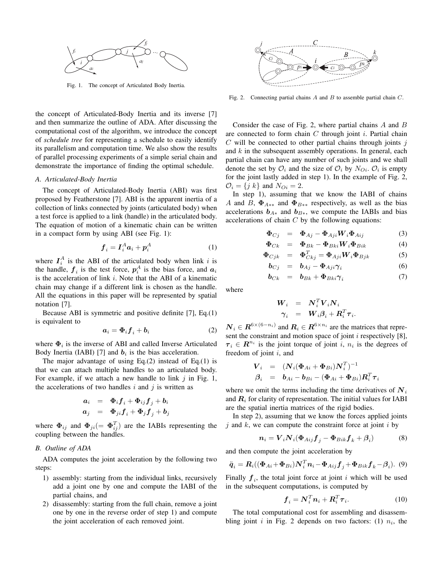

Fig. 1. The concept of Articulated Body Inertia.

the concept of Articulated-Body Inertia and its inverse [7] and then summarize the outline of ADA. After discussing the computational cost of the algorithm, we introduce the concept of *schedule tree* for representing a schedule to easily identify its parallelism and computation time. We also show the results of parallel processing experiments of a simple serial chain and demonstrate the importance of finding the optimal schedule.

# *A. Articulated-Body Inertia*

The concept of Articulated-Body Inertia (ABI) was first proposed by Featherstone [7]. ABI is the apparent inertia of a collection of links connected by joints (articulated body) when a test force is applied to a link (handle) in the articulated body. The equation of motion of a kinematic chain can be written in a compact form by using ABI (see Fig. 1):

$$
\boldsymbol{f}_i = \boldsymbol{I}_i^A \boldsymbol{a}_i + \boldsymbol{p}_i^A \tag{1}
$$

where  $I_i^A$  is the ABI of the articulated body when link i is the handle,  $f_i$  is the test force,  $p_i^A$  is the bias force, and  $a_i$ is the acceleration of link  $i$ . Note that the ABI of a kinematic chain may change if a different link is chosen as the handle. All the equations in this paper will be represented by spatial notation [7].

Because ABI is symmetric and positive definite [7], Eq.(1) is equivalent to

$$
a_i = \Phi_i f_i + b_i \tag{2}
$$

where  $\Phi_i$  is the inverse of ABI and called Inverse Articulated Body Inertia (IABI) [7] and  $b_i$  is the bias acceleration.

The major advantage of using Eq.(2) instead of Eq.(1) is that we can attach multiple handles to an articulated body. For example, if we attach a new handle to link  $j$  in Fig. 1, the accelerations of two handles i and j is written as

$$
a_i = \Phi_i f_i + \Phi_{ij} f_j + b_i
$$
  

$$
a_j = \Phi_{ji} f_i + \Phi_j f_j + b_j
$$

where  $\Phi_{ij}$  and  $\Phi_{ji} (= \Phi_{ij}^T)$  are the IABIs representing the coupling between the bandles coupling between the handles.

#### *B. Outline of ADA*

ADA computes the joint acceleration by the following two steps:

- 1) assembly: starting from the individual links, recursively add a joint one by one and compute the IABI of the partial chains, and
- 2) disassembly: starting from the full chain, remove a joint one by one in the reverse order of step 1) and compute the joint acceleration of each removed joint.



Fig. 2. Connecting partial chains  $A$  and  $B$  to assemble partial chain  $C$ .

Consider the case of Fig. 2, where partial chains A and B are connected to form chain  $C$  through joint  $i$ . Partial chain  $C$  will be connected to other partial chains through joints  $j$ and  $k$  in the subsequent assembly operations. In general, each partial chain can have any number of such joints and we shall denote the set by  $\mathcal{O}_i$  and the size of  $\mathcal{O}_i$  by  $N_{\text{O}i}$ .  $\mathcal{O}_i$  is empty for the joint lastly added in step 1). In the example of Fig. 2,  $\mathcal{O}_i = \{j \; k\}$  and  $N_{\text{O}i} = 2$ .

In step 1), assuming that we know the IABI of chains A and B,  $\Phi_{A**}$  and  $\Phi_{B**}$  respectively, as well as the bias accelerations  $b_{A*}$  and  $b_{B*}$ , we compute the IABIs and bias accelerations of chain  $C$  by the following equations:

$$
\Phi_{Cj} = \Phi_{Aj} - \Phi_{Aji} W_i \Phi_{Aij} \tag{3}
$$

$$
\Phi_{Ck} = \Phi_{Bk} - \Phi_{Bki} W_i \Phi_{Bik} \tag{4}
$$

$$
\Phi_{Cjk} = \Phi_{Ckj}^T = \Phi_{Aji} W_i \Phi_{Bjk} \tag{5}
$$

$$
\begin{array}{rcl}\n\mathbf{b}_{Cj} & = & \mathbf{b}_{Aj} - \mathbf{\Phi}_{Aji}\gamma_i\n\end{array}\n\tag{6}
$$

$$
\boldsymbol{b}_{Ck} = \boldsymbol{b}_{Bk} + \boldsymbol{\Phi}_{Bki} \boldsymbol{\gamma}_i \tag{7}
$$

where

$$
W_i = N_i^T V_i N_i
$$
  

$$
\gamma_i = W_i \beta_i + R_i^T \tau_i.
$$

 $N_i \in \mathbb{R}^{6 \times (6 - n_i)}$  and  $\mathbb{R}_i \in \mathbb{R}^{6 \times n_i}$  are the matrices that represent the constraint and motion space of joint  $i$  respectively [8],  $\tau_i \in \mathbb{R}^{n_i}$  is the joint torque of joint i,  $n_i$  is the degrees of freedom of joint  $i$ , and

$$
V_i = (N_i(\Phi_{Ai} + \Phi_{Bi})N_i^T)^{-1}
$$
  

$$
\beta_i = b_{Ai} - b_{Bi} - (\Phi_{Ai} + \Phi_{Bi})R_i^T \tau_i
$$

where we omit the terms including the time derivatives of  $N_i$ and  $\mathbf{R}_i$  for clarity of representation. The initial values for IABI are the spatial inertia matrices of the rigid bodies.

In step 2), assuming that we know the forces applied joints  $j$  and  $k$ , we can compute the constraint force at joint  $i$  by

$$
n_i = V_i N_i (\Phi_{Aij} f_j - \Phi_{Bik} f_k + \beta_i)
$$
 (8)

and then compute the joint acceleration by

$$
\ddot{\boldsymbol{q}}_i = \boldsymbol{R}_i((\boldsymbol{\Phi}_{Ai} + \boldsymbol{\Phi}_{Bi})\boldsymbol{N}_i^T\boldsymbol{n}_i - \boldsymbol{\Phi}_{Aij}\boldsymbol{f}_j + \boldsymbol{\Phi}_{Bik}\boldsymbol{f}_k - \boldsymbol{\beta}_i). \tag{9}
$$

Finally  $f_i$ , the total joint force at joint i which will be used in the subsequent computations, is computed by

$$
\boldsymbol{f}_i = \boldsymbol{N}_i^T \boldsymbol{n}_i + \boldsymbol{R}_i^T \boldsymbol{\tau}_i. \tag{10}
$$

The total computational cost for assembling and disassembling joint i in Fig. 2 depends on two factors: (1)  $n_i$ , the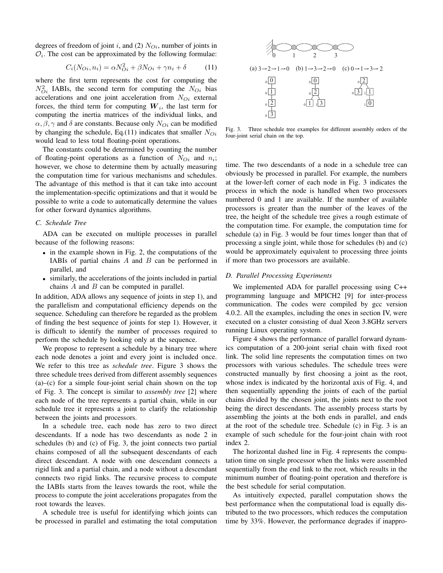degrees of freedom of joint i, and (2)  $N_{Oi}$ , number of joints in  $\mathcal{O}_i$ . The cost can be approximated by the following formulae:

$$
C_i(N_{O_i}, n_i) = \alpha N_{O_i}^2 + \beta N_{O_i} + \gamma n_i + \delta \tag{11}
$$

where the first term represents the cost for computing the  $N_{Oi}^2$  IABIs, the second term for computing the  $N_{Oi}$  bias accelerations and one joint acceleration from N*Oi* external forces, the third term for computing  $W_i$ , the last term for computing the inertia matrices of the individual links, and  $\alpha$ ,  $\beta$ ,  $\gamma$  and  $\delta$  are constants. Because only  $N_{Qi}$  can be modified by changing the schedule, Eq.(11) indicates that smaller  $N_{Qi}$ would lead to less total floating-point operations.

The constants could be determined by counting the number of floating-point operations as a function of N*Oi* and n*i*; however, we chose to determine them by actually measuring the computation time for various mechanisms and schedules. The advantage of this method is that it can take into account the implementation-specific optimizations and that it would be possible to write a code to automatically determine the values for other forward dynamics algorithms.

# *C. Schedule Tree*

ADA can be executed on multiple processes in parallel because of the following reasons:

- in the example shown in Fig. 2, the computations of the IABIs of partial chains  $A$  and  $B$  can be performed in parallel, and
- similarly, the accelerations of the joints included in partial chains  $A$  and  $B$  can be computed in parallel.

In addition, ADA allows any sequence of joints in step 1), and the parallelism and computational efficiency depends on the sequence. Scheduling can therefore be regarded as the problem of finding the best sequence of joints for step 1). However, it is difficult to identify the number of processes required to perform the schedule by looking only at the sequence.

We propose to represent a schedule by a binary tree where each node denotes a joint and every joint is included once. We refer to this tree as *schedule tree*. Figure 3 shows the three schedule trees derived from different assembly sequences (a)–(c) for a simple four-joint serial chain shown on the top of Fig. 3. The concept is similar to *assembly tree* [2] where each node of the tree represents a partial chain, while in our schedule tree it represents a joint to clarify the relationship between the joints and processors.

In a schedule tree, each node has zero to two direct descendants. If a node has two descendants as node 2 in schedules (b) and (c) of Fig. 3, the joint connects two partial chains composed of all the subsequent descendants of each direct descendant. A node with one descendant connects a rigid link and a partial chain, and a node without a descendant connects two rigid links. The recursive process to compute the IABIs starts from the leaves towards the root, while the process to compute the joint accelerations propagates from the root towards the leaves.

A schedule tree is useful for identifying which joints can be processed in parallel and estimating the total computation



Fig. 3. Three schedule tree examples for different assembly orders of the four-joint serial chain on the top.

time. The two descendants of a node in a schedule tree can obviously be processed in parallel. For example, the numbers at the lower-left corner of each node in Fig. 3 indicates the process in which the node is handled when two processors numbered 0 and 1 are available. If the number of available processors is greater than the number of the leaves of the tree, the height of the schedule tree gives a rough estimate of the computation time. For example, the computation time for schedule (a) in Fig. 3 would be four times longer than that of processing a single joint, while those for schedules (b) and (c) would be approximately equivalent to processing three joints if more than two processors are available.

# *D. Parallel Processing Experiments*

We implemented ADA for parallel processing using C++ programming language and MPICH2 [9] for inter-process communication. The codes were compiled by gcc version 4.0.2. All the examples, including the ones in section IV, were executed on a cluster consisting of dual Xeon 3.8GHz servers running Linux operating system.

Figure 4 shows the performance of parallel forward dynamics computation of a 200-joint serial chain with fixed root link. The solid line represents the computation times on two processors with various schedules. The schedule trees were constructed manually by first choosing a joint as the root, whose index is indicated by the horizontal axis of Fig. 4, and then sequentially appending the joints of each of the partial chains divided by the chosen joint, the joints next to the root being the direct descendants. The assembly process starts by assembling the joints at the both ends in parallel, and ends at the root of the schedule tree. Schedule (c) in Fig. 3 is an example of such schedule for the four-joint chain with root index 2.

The horizontal dashed line in Fig. 4 represents the computation time on single processor when the links were assembled sequentially from the end link to the root, which results in the minimum number of floating-point operation and therefore is the best schedule for serial computation.

As intuitively expected, parallel computation shows the best performance when the computational load is equally distributed to the two processors, which reduces the computation time by 33%. However, the performance degrades if inappro-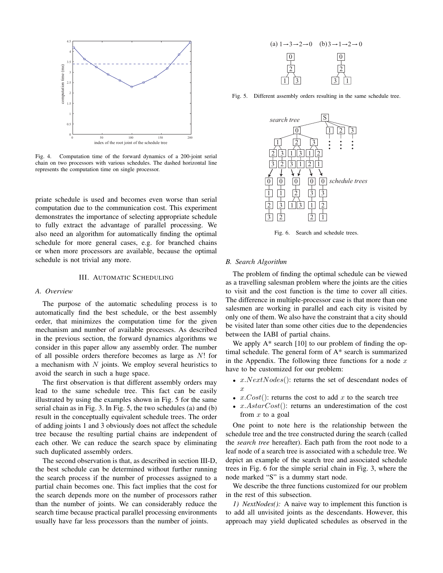

Fig. 4. Computation time of the forward dynamics of a 200-joint serial chain on two processors with various schedules. The dashed horizontal line represents the computation time on single processor.

priate schedule is used and becomes even worse than serial computation due to the communication cost. This experiment demonstrates the importance of selecting appropriate schedule to fully extract the advantage of parallel processing. We also need an algorithm for automatically finding the optimal schedule for more general cases, e.g. for branched chains or when more processors are available, because the optimal schedule is not trivial any more.

#### III. AUTOMATIC SCHEDULING

#### *A. Overview*

The purpose of the automatic scheduling process is to automatically find the best schedule, or the best assembly order, that minimizes the computation time for the given mechanism and number of available processes. As described in the previous section, the forward dynamics algorithms we consider in this paper allow any assembly order. The number of all possible orders therefore becomes as large as <sup>N</sup>! for a mechanism with  $N$  joints. We employ several heuristics to avoid the search in such a huge space.

The first observation is that different assembly orders may lead to the same schedule tree. This fact can be easily illustrated by using the examples shown in Fig. 5 for the same serial chain as in Fig. 3. In Fig. 5, the two schedules (a) and (b) result in the conceptually equivalent schedule trees. The order of adding joints 1 and 3 obviously does not affect the schedule tree because the resulting partial chains are independent of each other. We can reduce the search space by eliminating such duplicated assembly orders.

The second observation is that, as described in section III-D, the best schedule can be determined without further running the search process if the number of processes assigned to a partial chain becomes one. This fact implies that the cost for the search depends more on the number of processors rather than the number of joints. We can considerably reduce the search time because practical parallel processing environments usually have far less processors than the number of joints.



Fig. 5. Different assembly orders resulting in the same schedule tree.



Fig. 6. Search and schedule trees.

### *B. Search Algorithm*

The problem of finding the optimal schedule can be viewed as a travelling salesman problem where the joints are the cities to visit and the cost function is the time to cover all cities. The difference in multiple-processor case is that more than one salesmen are working in parallel and each city is visited by only one of them. We also have the constraint that a city should be visited later than some other cities due to the dependencies between the IABI of partial chains.

We apply  $A^*$  search [10] to our problem of finding the optimal schedule. The general form of A\* search is summarized in the Appendix. The following three functions for a node  $x$ have to be customized for our problem:

- $x.NextNodes()$ : returns the set of descendant nodes of  $\dot{x}$
- $x. Cost()$ : returns the cost to add x to the search tree
- $x. A starCost()$ : returns an underestimation of the cost from  $x$  to a goal

One point to note here is the relationship between the schedule tree and the tree constructed during the search (called the *search tree* hereafter). Each path from the root node to a leaf node of a search tree is associated with a schedule tree. We depict an example of the search tree and associated schedule trees in Fig. 6 for the simple serial chain in Fig. 3, where the node marked "S" is a dummy start node.

We describe the three functions customized for our problem in the rest of this subsection.

*1) NextNodes():* A naive way to implement this function is to add all unvisited joints as the descendants. However, this approach may yield duplicated schedules as observed in the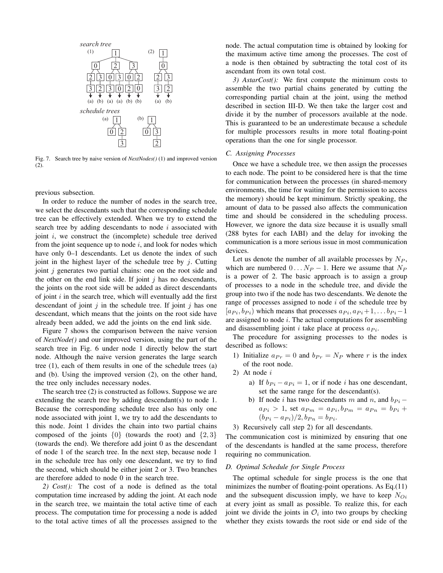

Fig. 7. Search tree by naive version of *NextNodes()* (1) and improved version (2).

previous subsection.

In order to reduce the number of nodes in the search tree, we select the descendants such that the corresponding schedule tree can be effectively extended. When we try to extend the search tree by adding descendants to node  $i$  associated with joint  $i$ , we construct the (incomplete) schedule tree derived from the joint sequence up to node  $i$ , and look for nodes which have only 0–1 descendants. Let us denote the index of such joint in the highest layer of the schedule tree by  $j$ . Cutting joint  $j$  generates two partial chains: one on the root side and the other on the end link side. If joint  $j$  has no descendants, the joints on the root side will be added as direct descendants of joint  $i$  in the search tree, which will eventually add the first descendant of joint  $j$  in the schedule tree. If joint  $j$  has one descendant, which means that the joints on the root side have already been added, we add the joints on the end link side.

Figure 7 shows the comparison between the naive version of *NextNode()* and our improved version, using the part of the search tree in Fig. 6 under node 1 directly below the start node. Although the naive version generates the large search tree (1), each of them results in one of the schedule trees (a) and (b). Using the improved version (2), on the other hand, the tree only includes necessary nodes.

The search tree (2) is constructed as follows. Suppose we are extending the search tree by adding descendant(s) to node 1. Because the corresponding schedule tree also has only one node associated with joint 1, we try to add the descendants to this node. Joint 1 divides the chain into two partial chains composed of the joints  $\{0\}$  (towards the root) and  $\{2,3\}$ (towards the end). We therefore add joint 0 as the descendant of node 1 of the search tree. In the next step, because node 1 in the schedule tree has only one descendant, we try to find the second, which should be either joint 2 or 3. Two branches are therefore added to node 0 in the search tree.

*2) Cost():* The cost of a node is defined as the total computation time increased by adding the joint. At each node in the search tree, we maintain the total active time of each process. The computation time for processing a node is added to the total active times of all the processes assigned to the node. The actual computation time is obtained by looking for the maximum active time among the processes. The cost of a node is then obtained by subtracting the total cost of its ascendant from its own total cost.

*3) AstarCost():* We first compute the minimum costs to assemble the two partial chains generated by cutting the corresponding partial chain at the joint, using the method described in section III-D. We then take the larger cost and divide it by the number of processors available at the node. This is guaranteed to be an underestimate because a schedule for multiple processors results in more total floating-point operations than the one for single processor.

# *C. Assigning Processes*

Once we have a schedule tree, we then assign the processes to each node. The point to be considered here is that the time for communication between the processes (in shared-memory environments, the time for waiting for the permission to access the memory) should be kept minimum. Strictly speaking, the amount of data to be passed also affects the communication time and should be considered in the scheduling process. However, we ignore the data size because it is usually small (288 bytes for each IABI) and the delay for invoking the communication is a more serious issue in most communication devices.

Let us denote the number of all available processes by  $N_P$ , which are numbered  $0 \ldots N_P - 1$ . Here we assume that  $N_P$ is a power of 2. The basic approach is to assign a group of processes to a node in the schedule tree, and divide the group into two if the node has two descendants. We denote the range of processes assigned to node  $i$  of the schedule tree by  $[a_{Pi}, b_{Pi}]$  which means that processes  $a_{Pi}, a_{Pi}+1, \ldots b_{Pi}-1$ are assigned to node  $i$ . The actual computations for assembling and disassembling joint i take place at process  $a_{Pi}$ .

The procedure for assigning processes to the nodes is described as follows:

- 1) Initialize  $a_{Pr} = 0$  and  $b_{Pr} = N_P$  where r is the index of the root node.
- 2) At node i
	- a) If  $b_{Pi} a_{Pi} = 1$ , or if node *i* has one descendant, set the same range for the descendant(s).
	- b) If node *i* has two descendants m and n, and  $b_{Pi}$  −  $a_{Pi} > 1$ , set  $a_{Pm} = a_{Pi}, b_{Pm} = a_{Pn} = b_{Pi} +$  $(b_{Pi} - a_{Pi})/2, b_{Pn} = b_{Pi}.$
- 3) Recursively call step 2) for all descendants.

The communication cost is minimized by ensuring that one of the descendants is handled at the same process, therefore requiring no communication.

#### *D. Optimal Schedule for Single Process*

The optimal schedule for single process is the one that minimizes the number of floating-point operations. As Eq.(11) and the subsequent discussion imply, we have to keep N*Oi* at every joint as small as possible. To realize this, for each joint we divide the joints in  $\mathcal{O}_i$  into two groups by checking whether they exists towards the root side or end side of the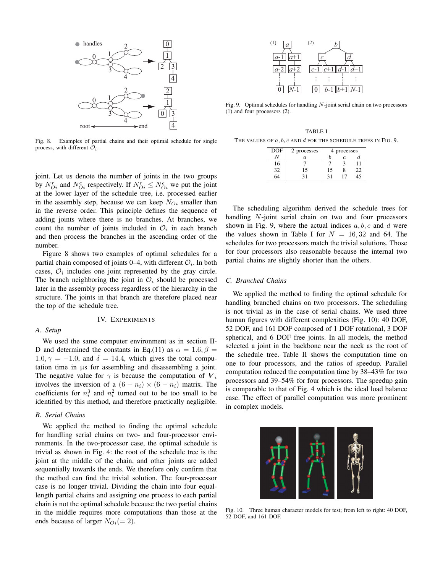

Fig. 8. Examples of partial chains and their optimal schedule for single process, with different  $\mathcal{O}_i$ .

joint. Let us denote the number of joints in the two groups by  $N_{O_i}^r$  and  $N_{O_i}^e$  respectively. If  $N_{O_i}^r \leq N_{O_i}^e$  we put the joint at the lower layer of the schedule tree, i.e. processed earlier in the assembly step, because we can keep  $N_{Qi}$  smaller than in the reverse order. This principle defines the sequence of adding joints where there is no branches. At branches, we count the number of joints included in  $\mathcal{O}_i$  in each branch and then process the branches in the ascending order of the number.

Figure 8 shows two examples of optimal schedules for a partial chain composed of joints 0–4, with different  $\mathcal{O}_i$ . In both cases,  $\mathcal{O}_i$  includes one joint represented by the gray circle. The branch neighboring the joint in  $\mathcal{O}_i$  should be processed later in the assembly process regardless of the hierarchy in the structure. The joints in that branch are therefore placed near the top of the schedule tree.

#### IV. EXPERIMENTS

#### *A. Setup*

We used the same computer environment as in section II-D and determined the constants in Eq.(11) as  $\alpha = 1.6$ ,  $\beta =$  $1.0, \gamma = -1.0$ , and  $\delta = 14.4$ , which gives the total computation time in µs for assembling and disassembling a joint. The negative value for  $\gamma$  is because the computation of  $V_i$ involves the inversion of a  $(6 - n_i) \times (6 - n_i)$  matrix. The coefficients for  $n_i^3$  and  $n_i^2$  turned out to be too small to be identified by this method, and therefore practically negligible.

#### *B. Serial Chains*

We applied the method to finding the optimal schedule for handling serial chains on two- and four-processor environments. In the two-processor case, the optimal schedule is trivial as shown in Fig. 4: the root of the schedule tree is the joint at the middle of the chain, and other joints are added sequentially towards the ends. We therefore only confirm that the method can find the trivial solution. The four-processor case is no longer trivial. Dividing the chain into four equallength partial chains and assigning one process to each partial chain is not the optimal schedule because the two partial chains in the middle requires more computations than those at the ends because of larger  $N_{Qi} (= 2)$ .



Fig. 9. Optimal schedules for handling  $N$ -joint serial chain on two processors (1) and four processors (2).

TABLE I THE VALUES OF  $a, b, c$  AND  $d$  FOR THE SCHEDULE TREES IN FIG. 9.

| <b>DOF</b> | 2 processes | 4 processes |   |    |
|------------|-------------|-------------|---|----|
|            | a.          |             | c |    |
| 16         |             |             |   |    |
| 32         | 15          | 15          |   | 22 |
|            |             | 21          |   |    |

The scheduling algorithm derived the schedule trees for handling N-joint serial chain on two and four processors shown in Fig. 9, where the actual indices  $a, b, c$  and d were the values shown in Table I for  $N = 16, 32$  and 64. The schedules for two processors match the trivial solutions. Those for four processors also reasonable because the internal two partial chains are slightly shorter than the others.

#### *C. Branched Chains*

We applied the method to finding the optimal schedule for handling branched chains on two processors. The scheduling is not trivial as in the case of serial chains. We used three human figures with different complexities (Fig. 10): 40 DOF, 52 DOF, and 161 DOF composed of 1 DOF rotational, 3 DOF spherical, and 6 DOF free joints. In all models, the method selected a joint in the backbone near the neck as the root of the schedule tree. Table II shows the computation time on one to four processors, and the ratios of speedup. Parallel computation reduced the computation time by 38–43% for two processors and 39–54% for four processors. The speedup gain is comparable to that of Fig. 4 which is the ideal load balance case. The effect of parallel computation was more prominent in complex models.



Fig. 10. Three human character models for test; from left to right: 40 DOF, 52 DOF, and 161 DOF.